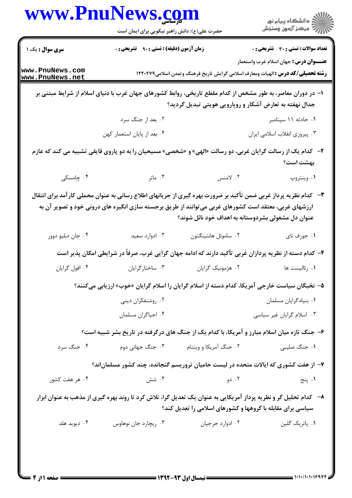|                                    | www.PnuNews.com<br>حضرت علی(ع): دانش راهبر نیکویی برای ایمان است                                            |                                                                                | ڪ دانشڪاه پيام نور<br>∥∕ مرڪز آزمون وسنڊش                                                                                                |
|------------------------------------|-------------------------------------------------------------------------------------------------------------|--------------------------------------------------------------------------------|------------------------------------------------------------------------------------------------------------------------------------------|
| <b>سری سوال :</b> یک ۱             | <b>زمان آزمون (دقیقه) : تستی : ۹۰ تشریحی : .</b>                                                            |                                                                                | <b>تعداد سوالات : تستی : 30 ٪ تشریحی : 0</b>                                                                                             |
| www.PnuNews.com<br>www.PnuNews.net |                                                                                                             |                                                                                | <b>عنــــوان درس :</b> جهان اسلام غرب واستعمار<br><b>رشته تحصیلی/کد درس :</b> الهیات ومعارف اسلامی گرایش تاریخ فرهنگ وتمدن اسلامی1۲۲۰۲۷۹ |
|                                    | ۱– در دوران معاصر، به طور مشخص از کدام مقطع تاریخی، روابط کشورهای جهان غرب با دنیای اسلام از شرایط مبتنی بر | جدال نهفته به تعارض آشکار و رویارویی هویتی تبدیل گردید؟                        |                                                                                                                                          |
|                                    | ۰۲ بعد از جنگ سرد                                                                                           |                                                                                | ۰۱ حادثه ۱۱ سپتامبر                                                                                                                      |
|                                    | ۰۴ بعد از پایان استعمار کهن                                                                                 |                                                                                | ۰۳ پیروزی انقلاب اسلامی ایران                                                                                                            |
|                                    | ۲- کدام یک از رسالت گرایان غربی، دو رسالت «الهی» و «شخصی» مسیحیان را به دو پاروی قایقی تشبیه می کند که عازم |                                                                                | بهشت است؟                                                                                                                                |
| ۰۴ چامسکی                          | ۰۳ ماتر                                                                                                     | ۰۲ لامنس                                                                       | ۰۱ وینتروپ                                                                                                                               |
|                                    | ارزشهای غربی، معتقد است کشورهای غربی می توانند از طریق برجسته سازی انگیزه های درونی خود و تصویر آن به       | عنوان دل مشغولی بشردوستانه به اهداف خود نائل شوند؟                             | ۳-۔ کدام نظریه پرداز غربی ضمن تأکید بر ضرورت بهره گیری از جریانهای اطلاع رسانی به عنوان محملی کارآمد برای انتقال                         |
| ۰۴ جان دبليو دوور                  | ۰۳ ادوارد سعید                                                                                              | ٠٢ ساموئل هانتينگتون                                                           | ۰۱ جوزف نای                                                                                                                              |
|                                    |                                                                                                             |                                                                                |                                                                                                                                          |
|                                    |                                                                                                             |                                                                                | ۴– کدام دسته از نظریه پردازان غربی تأکید دارند که ادامه جهان گرایی غرب، صرفاً در شرایطی امکان پذیر است                                   |
| ۰۴ افول گرايان                     | ۰۳ ساختارگرايان                                                                                             | ۰۲ هژمونیک گرایان                                                              | ٠١ رئاليست ها                                                                                                                            |
|                                    | ۵–  نخبگان سیاست خارجی آمریکا، کدام دسته از اسلام گرایان را اسلام گرایان «خوب» ارزیابی میکنند؟              |                                                                                |                                                                                                                                          |
|                                    | ۰۲ روشنفکران دینی                                                                                           |                                                                                | ٠١ بنيادگرايان مسلمان                                                                                                                    |
|                                    | ۰۴ احیاگران مسلمان                                                                                          |                                                                                | ۰۳ اسلام گرایان غیر سیاسی                                                                                                                |
|                                    |                                                                                                             |                                                                                | ۶- جنگ تازه میان اسلام مبارز و آمریکا، با کدام یک از جنگ های درگرفته در تاریخ بشر شبیه است؟                                              |
| ۰۴ جنگ سرد                         | ۰۳ جنگ جهانی دوم                                                                                            | ۰۲ جنگ آمریکا و ویتنام                                                         | ۰۱ جنگ صلیبی                                                                                                                             |
|                                    |                                                                                                             |                                                                                | ۷– از هفت کشوری که ایالات متحده در لیست حامیان تروریسم گنجانده، چند کشور مسلمان ند؟                                                      |
| ۰۴ هر هفت کشور                     | ۰۳ شش                                                                                                       | ۰۲ دو                                                                          | ۰۱ پنج                                                                                                                                   |
|                                    |                                                                                                             |                                                                                | ۸– کدام تحلیل گر و نظریه پرداز آمریکایی به عنوان یک تعدیل گرا، تلاش کرد تا روند بهره گیری از مذهب به عنوان ابزار                         |
| ۰۴ دیوید هلد                       | ۰۳ ریچارد جان نوهاوس                                                                                        | سیاسی برای مقابله با گروهها و کشورهای اسلامی را تعدیل کند؟<br>۰۲ ادوارد جرجیان | ٠١. پاتريک گلين                                                                                                                          |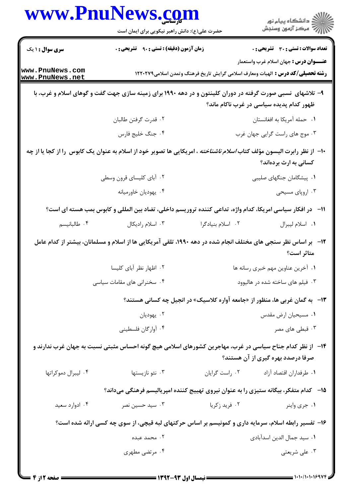|                                                                                                                                                       | www.PnuNews.com<br>حضرت علی(ع): دانش راهبر نیکویی برای ایمان است                                                                |                   | الاد دانشگاه پيام نور<br>الاستمر آزمون وسنجش                                                   |  |
|-------------------------------------------------------------------------------------------------------------------------------------------------------|---------------------------------------------------------------------------------------------------------------------------------|-------------------|------------------------------------------------------------------------------------------------|--|
| <b>سری سوال : ۱ یک</b>                                                                                                                                | <b>زمان آزمون (دقیقه) : تستی : ۹۰ تشریحی : 0</b>                                                                                |                   | <b>تعداد سوالات : تستی : 30 ٪ تشریحی : 0</b><br><b>عنــــوان درس :</b> جهان اسلام غرب واستعمار |  |
| www.PnuNews.com<br>www.PnuNews.net                                                                                                                    |                                                                                                                                 |                   | <b>رشته تحصیلی/کد درس :</b> الهیات ومعارف اسلامی گرایش تاریخ فرهنگ وتمدن اسلامی1۲۲۰۲۷۹         |  |
| ۹- تلاشهای نسبی صورت گرفته در دوران کلینتون و در دهه ۱۹۹۰ برای زمینه سازی جهت گفت و گوهای اسلام و غرب، با<br>ظهور کدام پدیده سیاسی در غرب ناکام ماند؟ |                                                                                                                                 |                   |                                                                                                |  |
|                                                                                                                                                       | ۰۲ قدرت گرفتن طالبان                                                                                                            |                   | ٠١ حمله أمريكا به افغانستان                                                                    |  |
|                                                                                                                                                       | ۰۴ جنگ خليج فارس                                                                                                                |                   | ۰۳ موج های راست گرایی جهان غرب                                                                 |  |
|                                                                                                                                                       | ∙۱−  از نظر رابرت الیسون مؤلف کتاب <i>اسلام ناشناخته</i> ، امریکایی ها تصویر خود از اسلام به عنوان یک کابوس  را از کجا یا از چه |                   | کسانی به ارث بردهاند؟                                                                          |  |
|                                                                                                                                                       | ۰۲ آبای کلیسای قرون وسطی                                                                                                        |                   | ۰۱ پیشگامان جنگهای صلیبی                                                                       |  |
|                                                                                                                                                       | ۰۴ يهوديان خاورميانه                                                                                                            |                   | ۰۳ اروپای مسیحی                                                                                |  |
|                                                                                                                                                       | ۱۱−۔ در افکار سیاسی امریکا، کدام واژه، تداعی کننده تروریسم داخلی، تضاد بین المللی و کابوس بمب هسته ای است؟                      |                   |                                                                                                |  |
| ۰۴ طالبانیسم                                                                                                                                          | ۰۳ اسلام راديكال                                                                                                                | ۰۲ اسلام بنیادگرا | ٠١ اسلام ليبرال                                                                                |  |
|                                                                                                                                                       | ۱۲-۔ بر اساس نظر سنجی های مختلف انجام شده در دهه ۱۹۹۰، تلقی آمریکایی ها از اسلام و مسلمانان، بیشتر از کدام عامل                 |                   | متاثر است؟                                                                                     |  |
|                                                                                                                                                       | ۰۲ اظهار نظر آبای کلیسا                                                                                                         |                   | ۰۱ آخرین عناوین مهم خبری رسانه ها                                                              |  |
|                                                                                                                                                       | ۰۴ سخنرانی های مقامات سیاسی                                                                                                     |                   | ۰۳ فیلم های ساخته شده در هالیوود                                                               |  |
|                                                                                                                                                       |                                                                                                                                 |                   | ۱۳- به گمان غربی ها، منظور از «جامعه آواره کلاسیک» در انجیل چه کسانی هستند؟                    |  |
|                                                                                                                                                       | ۰۲ يهوديان                                                                                                                      |                   | ۰۱ مسیحیان ارض مقدس                                                                            |  |
|                                                                                                                                                       | ۰۴ آوارگان فلسطيني                                                                                                              |                   | ۰۳ قبطی های مصر                                                                                |  |
|                                                                                                                                                       | ۱۴– از نظر کدام جناح سیاسی در غرب، مهاجرین کشورهای اسلامی هیچ گونه احساس مثبتی نسبت به جهان غرب ندارند و                        |                   | صرفا درصدد بهره گیری از آن هستند؟                                                              |  |
| ۰۴ ليبرال دموكراتها                                                                                                                                   | ۰۳ نئو نازیستها                                                                                                                 | ۰۲ راست گرایان    | ٠١. طرفداران اقتصاد آزاد                                                                       |  |
|                                                                                                                                                       | ۱۵– کدام متفکر، بیگانه ستیزی را به عنوان نیروی تهییج کننده امپریالیسم فرهنگی میداند؟                                            |                   |                                                                                                |  |
| ۰۴ ادوارد سعید                                                                                                                                        | ۰۳ سید حسین نصر                                                                                                                 | ۰۲ فرید زکریا     | ۰۱ جري واينر                                                                                   |  |
|                                                                                                                                                       | ۱۶- تفسیر رابطه اسلام، سرمایه داری و کمونیسم بر اساس حرکتهای لبه قیچی، از سوی چه کسی ارائه شده است؟                             |                   |                                                                                                |  |
|                                                                                                                                                       | ۰۲ محمد عبده                                                                                                                    |                   | ٠١ سيد جمال الدين اسدآبادى                                                                     |  |
|                                                                                                                                                       | ۰۴ مرتضى مطهرى                                                                                                                  |                   | ۰۳ على شريعتي                                                                                  |  |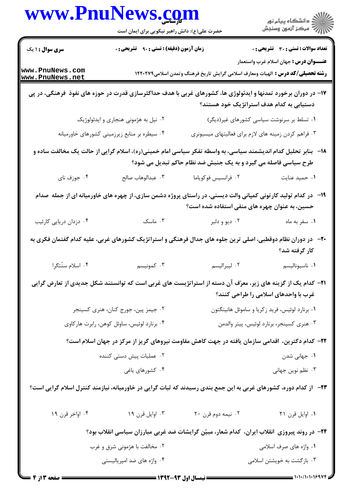| www.Pnulvews.com                                                                                                                                                                  | حضرت علی(ع): دانش راهبر نیکویی برای ایمان است |                                                                                                                                                                | ڪ دانشڪاه پيام نور<br>پ <sup>ر</sup> مرڪز آزمون وسنڊش |  |
|-----------------------------------------------------------------------------------------------------------------------------------------------------------------------------------|-----------------------------------------------|----------------------------------------------------------------------------------------------------------------------------------------------------------------|-------------------------------------------------------|--|
| <b>سری سوال : ۱ یک</b>                                                                                                                                                            | زمان آزمون (دقیقه) : تستی : ۹۰٪ تشریحی : ۰    |                                                                                                                                                                | <b>تعداد سوالات : تستی : 30 ٪ تشریحی : 0</b>          |  |
| www.PnuNews.com<br>www.PnuNews.net                                                                                                                                                |                                               | <b>رشته تحصیلی/کد درس :</b> الهیات ومعارف اسلامی گرایش تاریخ فرهنگ وتمدن اسلامی۱۲۲۰۲۷۹                                                                         | <b>عنــــوان درس :</b> جهان اسلام غرب واستعمار        |  |
|                                                                                                                                                                                   |                                               | ۱۷– در دوران برخورد تمدنها و ایدئولوژی ها، کشورهای غربی با هدف حداکثرسازی قدرت در حوزه های نفوذ فرهنگی، در پی<br>دستیابی به کدام هدف استراتژیک خود هستند؟      |                                                       |  |
|                                                                                                                                                                                   | ۰۲ نیل به هژمونی هنجاری و ایدئولوژیک          |                                                                                                                                                                | ۰۱ تسلط بر سرنوشت سیاسی کشورهای غیر(دیگر)             |  |
|                                                                                                                                                                                   | ۰۴ سیطره بر منابع زیرزمینی کشورهای خاورمیانه  | ۰۳ فراهم کردن زمینه های لازم برای فعالیتهای میسیونری                                                                                                           |                                                       |  |
| ۱۸–۔ بنابر تحلیل کدام اندیشمند سیاسی، به واسطه تفکر سیاسی امام خمینی(ره)، اسلام گرایی از حالت یک مخالفت ساده و<br>طرح سیاسی فاصله می گیرد و به یک جنبش ضد نظام حاکم تبدیل می شود؟ |                                               |                                                                                                                                                                |                                                       |  |
| ۰۴ جوزف نای                                                                                                                                                                       | ٠٣ عبدالوهاب صالح                             | ۰۲ فرانسیس فوکویاما                                                                                                                                            | ٠١ حميد عنايت                                         |  |
|                                                                                                                                                                                   |                                               | ۱۹- در کدام تولید کارتونی کمپانی والت دیسنی، در راستای پروژه دشمن سازی، از چهره های خاورمیانه ای از جمله صدام<br>حسین، به عنوان چهره های منفی استفاده شده است؟ |                                                       |  |
| ۰۴ دزدان دریایی کارئیب                                                                                                                                                            | ۰۳ ماسک                                       | ۰۲ ديو و دلبر                                                                                                                                                  | ۰۱ سفر به ماه                                         |  |
| +۲-٪ در دوران نظام دوقطبی، اصلی ترین جلوه های جدال فرهنگی و استراتژیک کشورهای غربی، علیه کدام گفتمان فکری به<br>كار گرفته شد؟                                                     |                                               |                                                                                                                                                                |                                                       |  |
| ۰۴ اسلام سنّتگرا                                                                                                                                                                  | ۰۳ کمونیسم                                    | ٢. ليبراليسم                                                                                                                                                   | ٠١ ناسيوناليسم                                        |  |
|                                                                                                                                                                                   |                                               | <b>۳۱</b> – کدام یک از گزینه های زیر، معرّف آن دسته از استراتژیست های غربی است که توانستند شکل جدیدی از تعارض گرایی                                            | غرب با واحدهای اسلامی را طراحی کنند؟                  |  |
| ۰۲ جیمز پین، جورج کنان، هنری کسینجر                                                                                                                                               |                                               | ۰۱ برنارد لوئیس، فرید زکریا و ساموئل هانینگتون                                                                                                                 |                                                       |  |
|                                                                                                                                                                                   | ۰۴ برنارد لوئیس، ساوئل کوهن، رابرت هارکاوی    | ٠٣ هنري كسينجر، برنارد لوئيس، پيتر والدمن                                                                                                                      |                                                       |  |
|                                                                                                                                                                                   |                                               | ۲۲– کدام دکترین، اقدامی سازمان یافته در جهت کاهش مقاومت نیروهای گریز از مرکز در جهان اسلام است؟                                                                |                                                       |  |
| ۰۲ عملیات پیش دستی کننده                                                                                                                                                          |                                               | ۰۱ جهانی شدن                                                                                                                                                   |                                                       |  |
|                                                                                                                                                                                   | ۰۴ کشورهای یاغی                               |                                                                                                                                                                | ۰۳ نظم نوین جهانی                                     |  |
| ۲۳– از کدام دوره، کشورهای غربی به این جمع بندی رسیدند که ثبات گرایی در خاورمیانه، نیازمند کنترل اسلام گرایی است؟                                                                  |                                               |                                                                                                                                                                |                                                       |  |
| ۰۴ اواخر قرن ۱۹                                                                                                                                                                   | ۰۳ اوایل قرن ۱۹                               | ۰۲ نیمه دوم قرن ۲۰                                                                                                                                             | ٠١ اوايل قرن ٢١                                       |  |
|                                                                                                                                                                                   |                                               | ۲۴– در روند پیروزی انقلاب ایران، کدام شعار، مبیّن گرایشات ضد غربی مبارزان سیاسی انقلاب بود؟                                                                    |                                                       |  |
| ۰۲ مخالفت با هژمونی شرق و غرب                                                                                                                                                     |                                               |                                                                                                                                                                | ۰۱ واژه های صرف اسلامی                                |  |
|                                                                                                                                                                                   | ۰۴ واژه های ضد امپریالیستی                    |                                                                                                                                                                | ۰۳ بازگشت به خویشتن اسلامی                            |  |